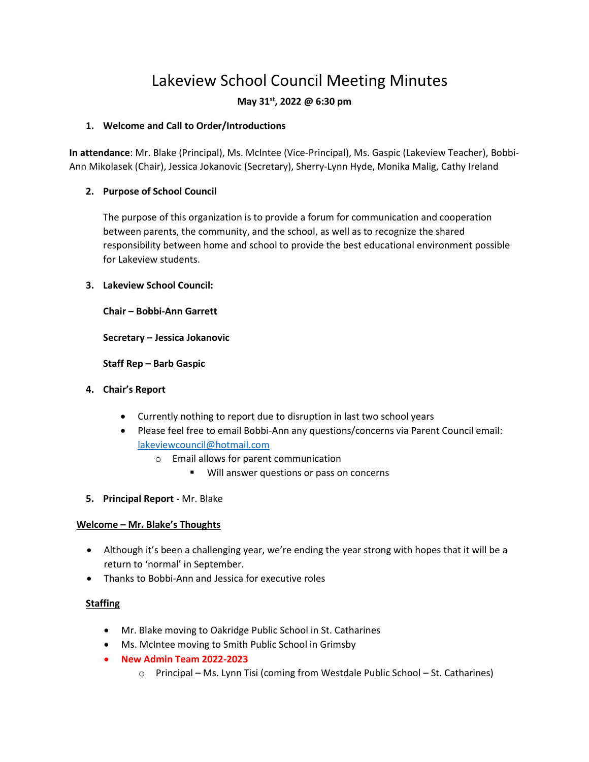# Lakeview School Council Meeting Minutes

# **May 31st, 2022 @ 6:30 pm**

#### **1. Welcome and Call to Order/Introductions**

**In attendance**: Mr. Blake (Principal), Ms. McIntee (Vice-Principal), Ms. Gaspic (Lakeview Teacher), Bobbi-Ann Mikolasek (Chair), Jessica Jokanovic (Secretary), Sherry-Lynn Hyde, Monika Malig, Cathy Ireland

## **2. Purpose of School Council**

The purpose of this organization is to provide a forum for communication and cooperation between parents, the community, and the school, as well as to recognize the shared responsibility between home and school to provide the best educational environment possible for Lakeview students.

#### **3. Lakeview School Council:**

**Chair – Bobbi-Ann Garrett**

**Secretary – Jessica Jokanovic**

**Staff Rep – Barb Gaspic**

- **4. Chair's Report**
	- Currently nothing to report due to disruption in last two school years
	- Please feel free to email Bobbi-Ann any questions/concerns via Parent Council email: [lakeviewcouncil@hotmail.com](mailto:lakeviewcouncil@hotmail.com)
		- o Email allows for parent communication
			- Will answer questions or pass on concerns
- **5. Principal Report -** Mr. Blake

#### **Welcome – Mr. Blake's Thoughts**

- Although it's been a challenging year, we're ending the year strong with hopes that it will be a return to 'normal' in September.
- Thanks to Bobbi-Ann and Jessica for executive roles

## **Staffing**

- Mr. Blake moving to Oakridge Public School in St. Catharines
- Ms. McIntee moving to Smith Public School in Grimsby
- **New Admin Team 2022-2023**
	- $\circ$  Principal Ms. Lynn Tisi (coming from Westdale Public School St. Catharines)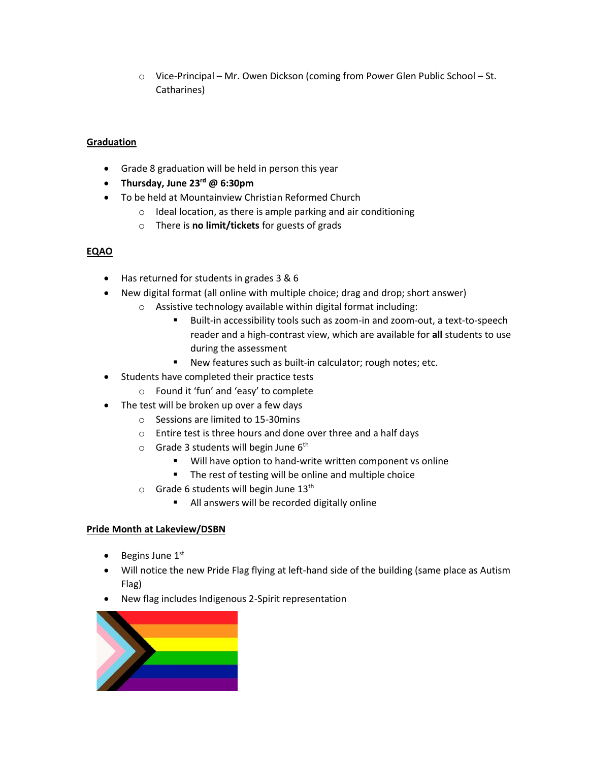o Vice-Principal – Mr. Owen Dickson (coming from Power Glen Public School – St. Catharines)

#### **Graduation**

- Grade 8 graduation will be held in person this year
- **Thursday, June 23rd @ 6:30pm**
- To be held at Mountainview Christian Reformed Church
	- o Ideal location, as there is ample parking and air conditioning
	- o There is **no limit/tickets** for guests of grads

#### **EQAO**

- Has returned for students in grades 3 & 6
- New digital format (all online with multiple choice; drag and drop; short answer)
	- o Assistive technology available within digital format including:
		- Built-in accessibility tools such as zoom-in and zoom-out, a text-to-speech reader and a high-contrast view, which are available for **all** students to use during the assessment
		- New features such as built-in calculator; rough notes; etc.
- Students have completed their practice tests
	- o Found it 'fun' and 'easy' to complete
- The test will be broken up over a few days
	- o Sessions are limited to 15-30mins
	- o Entire test is three hours and done over three and a half days
	- $\circ$  Grade 3 students will begin June 6<sup>th</sup>
		- Will have option to hand-write written component vs online
		- The rest of testing will be online and multiple choice
	- $\circ$  Grade 6 students will begin June 13<sup>th</sup>
		- All answers will be recorded digitally online

#### **Pride Month at Lakeview/DSBN**

- Begins June  $1<sup>st</sup>$
- Will notice the new Pride Flag flying at left-hand side of the building (same place as Autism Flag)
- New flag includes Indigenous 2-Spirit representation

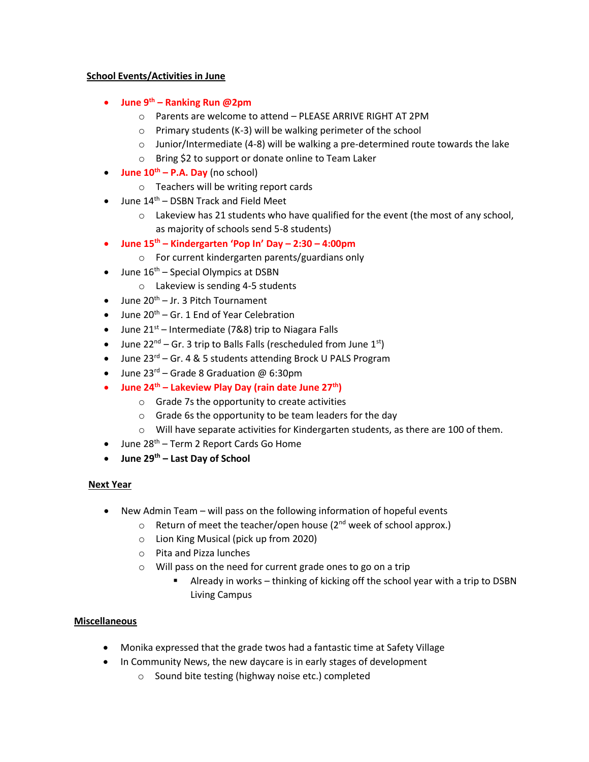#### **School Events/Activities in June**

- **June 9th – Ranking Run @2pm**
	- o Parents are welcome to attend PLEASE ARRIVE RIGHT AT 2PM
	- o Primary students (K-3) will be walking perimeter of the school
	- $\circ$  Junior/Intermediate (4-8) will be walking a pre-determined route towards the lake
	- o Bring \$2 to support or donate online to Team Laker
- **June 10th – P.A. Day** (no school)
	- o Teachers will be writing report cards
- June 14<sup>th</sup> DSBN Track and Field Meet
	- $\circ$  Lakeview has 21 students who have qualified for the event (the most of any school, as majority of schools send 5-8 students)
- **June 15th – Kindergarten 'Pop In' Day – 2:30 – 4:00pm**
	- o For current kindergarten parents/guardians only
- June  $16<sup>th</sup>$  Special Olympics at DSBN
	- o Lakeview is sending 4-5 students
- June 20<sup>th</sup> Jr. 3 Pitch Tournament
- June  $20^{th}$  Gr. 1 End of Year Celebration
- June  $21<sup>st</sup>$  Intermediate (7&8) trip to Niagara Falls
- June  $22^{nd}$  Gr. 3 trip to Balls Falls (rescheduled from June  $1^{st}$ )
- June 23<sup>rd</sup> Gr. 4 & 5 students attending Brock U PALS Program
- June  $23^{\text{rd}}$  Grade 8 Graduation @ 6:30pm
- **June 24th – Lakeview Play Day (rain date June 27th)**
	- o Grade 7s the opportunity to create activities
	- o Grade 6s the opportunity to be team leaders for the day
	- $\circ$  Will have separate activities for Kindergarten students, as there are 100 of them.
- $\bullet$  June 28<sup>th</sup> Term 2 Report Cards Go Home
- **June 29th – Last Day of School**

## **Next Year**

- New Admin Team will pass on the following information of hopeful events
	- $\circ$  Return of meet the teacher/open house (2<sup>nd</sup> week of school approx.)
	- o Lion King Musical (pick up from 2020)
	- o Pita and Pizza lunches
	- o Will pass on the need for current grade ones to go on a trip
		- Already in works thinking of kicking off the school year with a trip to DSBN Living Campus

## **Miscellaneous**

- Monika expressed that the grade twos had a fantastic time at Safety Village
- In Community News, the new daycare is in early stages of development
	- o Sound bite testing (highway noise etc.) completed